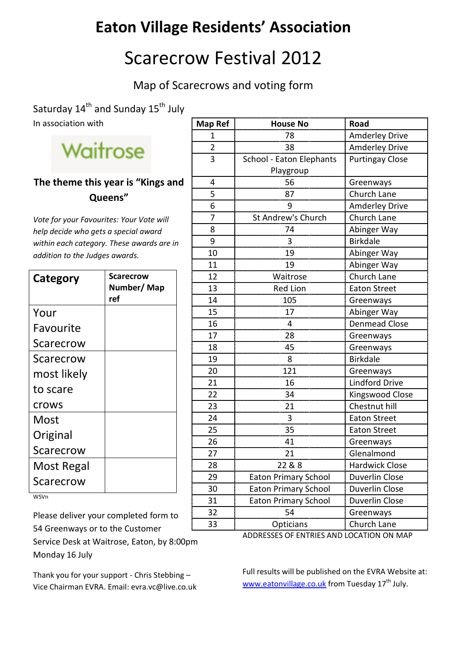## **Eaton Village Residents' Association**

## Scarecrow Festival 2012

Map of Scarecrows and voting form

Saturday 14<sup>th</sup> and Sunday 15<sup>th</sup> July In association with

## Waitrose

## **The theme this year is "Kings and Queens"**

*Vote for your Favourites: Your Vote will help decide who gets a special award within each category. These awards are in addition to the Judges awards.*

| Category    | <b>Scarecrow</b><br>Number/Map |
|-------------|--------------------------------|
|             | ref                            |
| Your        |                                |
| Favourite   |                                |
| Scarecrow   |                                |
| Scarecrow   |                                |
| most likely |                                |
| to scare    |                                |
| crows       |                                |
| Most        |                                |
| Original    |                                |
| Scarecrow   |                                |
| Most Regal  |                                |
| Scarecrow   |                                |

WSVn

Please deliver your completed form to 54 Greenways or to the Customer

Service Desk at Waitrose, Eaton, by 8:00pm Monday 16 July

Thank you for your support - Chris Stebbing – Vice Chairman EVRA. Email: evra.vc@live.co.uk

| Map Ref        | <b>House No</b>             | Road                   |
|----------------|-----------------------------|------------------------|
| 1              | 78                          | <b>Amderley Drive</b>  |
| $\overline{2}$ | 38                          | Amderley Drive         |
| 3              | School - Eaton Elephants    | <b>Purtingay Close</b> |
|                | Playgroup                   |                        |
| 4              | 56                          | Greenways              |
| 5              | 87                          | Church Lane            |
| 6              | 9                           | <b>Amderley Drive</b>  |
| 7              | St Andrew's Church          | Church Lane            |
| 8              | 74                          | Abinger Way            |
| 9              | 3                           | <b>Birkdale</b>        |
| 10             | 19                          | Abinger Way            |
| 11             | 19                          | Abinger Way            |
| 12             | Waitrose                    | <b>Church Lane</b>     |
| 13             | <b>Red Lion</b>             | <b>Eaton Street</b>    |
| 14             | 105                         | Greenways              |
| 15             | 17                          | Abinger Way            |
| 16             | 4                           | <b>Denmead Close</b>   |
| 17             | 28                          | Greenways              |
| 18             | 45                          | Greenways              |
| 19             | 8                           | <b>Birkdale</b>        |
| 20             | 121                         | Greenways              |
| 21             | 16                          | <b>Lindford Drive</b>  |
| 22             | 34                          | Kingswood Close        |
| 23             | 21                          | Chestnut hill          |
| 24             | 3                           | <b>Eaton Street</b>    |
| 25             | 35                          | <b>Eaton Street</b>    |
| 26             | 41                          | Greenways              |
| 27             | 21                          | Glenalmond             |
| 28             | 22 & 8                      | <b>Hardwick Close</b>  |
| 29             | <b>Eaton Primary School</b> | <b>Duverlin Close</b>  |
| 30             | <b>Eaton Primary School</b> | Duverlin Close         |
| 31             | <b>Eaton Primary School</b> | Duverlin Close         |
| 32             | 54                          | Greenways              |
| 33             | Opticians                   | Church Lane            |

ADDRESSES OF ENTRIES AND LOCATION ON MAP

Full results will be published on the EVRA Website at: [www.eatonvillage.co.uk](http://www.eatonvillage.co.uk/) from Tuesday 17<sup>th</sup> July.